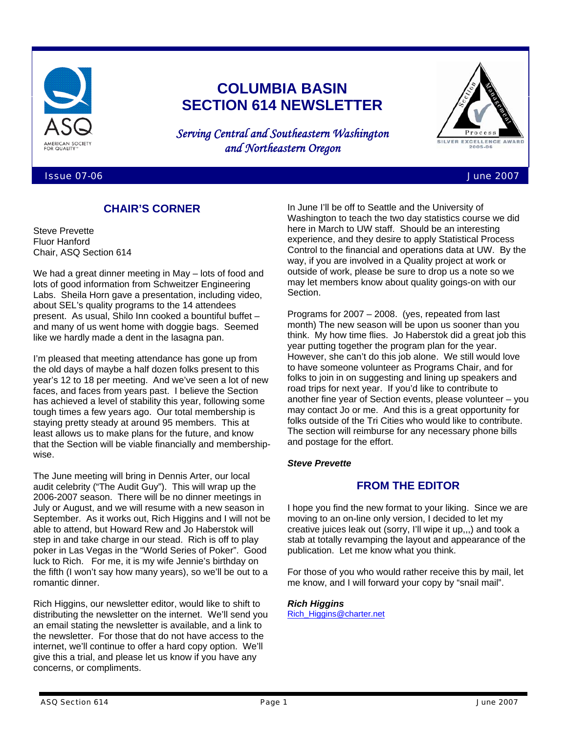

# **COLUMBIA BASIN SECTION 614 NEWSLETTER**

*Serving Central and Southeastern Washington and Northeastern Oregon* 



Issue 07-06 June 2007

# **CHAIR'S CORNER**

Steve Prevette Fluor Hanford Chair, ASQ Section 614

We had a great dinner meeting in May – lots of food and lots of good information from Schweitzer Engineering Labs. Sheila Horn gave a presentation, including video, about SEL's quality programs to the 14 attendees present. As usual, Shilo Inn cooked a bountiful buffet – and many of us went home with doggie bags. Seemed like we hardly made a dent in the lasagna pan.

I'm pleased that meeting attendance has gone up from the old days of maybe a half dozen folks present to this year's 12 to 18 per meeting. And we've seen a lot of new faces, and faces from years past. I believe the Section has achieved a level of stability this year, following some tough times a few years ago. Our total membership is staying pretty steady at around 95 members. This at least allows us to make plans for the future, and know that the Section will be viable financially and membershipwise.

The June meeting will bring in Dennis Arter, our local audit celebrity ("The Audit Guy"). This will wrap up the 2006-2007 season. There will be no dinner meetings in July or August, and we will resume with a new season in September. As it works out, Rich Higgins and I will not be able to attend, but Howard Rew and Jo Haberstok will step in and take charge in our stead. Rich is off to play poker in Las Vegas in the "World Series of Poker". Good luck to Rich. For me, it is my wife Jennie's birthday on the fifth (I won't say how many years), so we'll be out to a romantic dinner.

Rich Higgins, our newsletter editor, would like to shift to distributing the newsletter on the internet. We'll send you an email stating the newsletter is available, and a link to the newsletter. For those that do not have access to the internet, we'll continue to offer a hard copy option. We'll give this a trial, and please let us know if you have any concerns, or compliments.

In June I'll be off to Seattle and the University of Washington to teach the two day statistics course we did here in March to UW staff. Should be an interesting experience, and they desire to apply Statistical Process Control to the financial and operations data at UW. By the way, if you are involved in a Quality project at work or outside of work, please be sure to drop us a note so we may let members know about quality goings-on with our Section.

Programs for 2007 – 2008. (yes, repeated from last month) The new season will be upon us sooner than you think. My how time flies. Jo Haberstok did a great job this year putting together the program plan for the year. However, she can't do this job alone. We still would love to have someone volunteer as Programs Chair, and for folks to join in on suggesting and lining up speakers and road trips for next year. If you'd like to contribute to another fine year of Section events, please volunteer – you may contact Jo or me. And this is a great opportunity for folks outside of the Tri Cities who would like to contribute. The section will reimburse for any necessary phone bills and postage for the effort.

## *Steve Prevette*

## **FROM THE EDITOR**

I hope you find the new format to your liking. Since we are moving to an on-line only version, I decided to let my creative juices leak out (sorry, I'll wipe it up,,,) and took a stab at totally revamping the layout and appearance of the publication. Let me know what you think.

For those of you who would rather receive this by mail, let me know, and I will forward your copy by "snail mail".

#### *Rich Higgins*  Rich\_Higgins@charter.net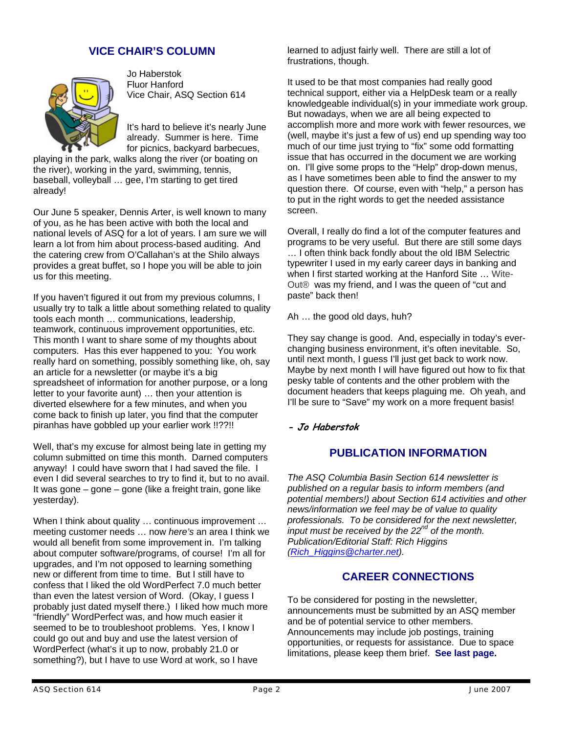# **VICE CHAIR'S COLUMN**



Jo Haberstok Fluor Hanford Vice Chair, ASQ Section 614

It's hard to believe it's nearly June already. Summer is here. Time for picnics, backyard barbecues,

playing in the park, walks along the river (or boating on the river), working in the yard, swimming, tennis, baseball, volleyball … gee, I'm starting to get tired already!

Our June 5 speaker, Dennis Arter, is well known to many of you, as he has been active with both the local and national levels of ASQ for a lot of years. I am sure we will learn a lot from him about process-based auditing. And the catering crew from O'Callahan's at the Shilo always provides a great buffet, so I hope you will be able to join us for this meeting.

If you haven't figured it out from my previous columns, I usually try to talk a little about something related to quality tools each month … communications, leadership, teamwork, continuous improvement opportunities, etc. This month I want to share some of my thoughts about computers. Has this ever happened to you: You work really hard on something, possibly something like, oh, say an article for a newsletter (or maybe it's a big spreadsheet of information for another purpose, or a long letter to your favorite aunt) … then your attention is diverted elsewhere for a few minutes, and when you come back to finish up later, you find that the computer piranhas have gobbled up your earlier work !!??!!

Well, that's my excuse for almost being late in getting my column submitted on time this month. Darned computers anyway! I could have sworn that I had saved the file. I even I did several searches to try to find it, but to no avail. It was gone – gone – gone (like a freight train, gone like yesterday).

When I think about quality ... continuous improvement ... meeting customer needs … now *here's* an area I think we would all benefit from some improvement in. I'm talking about computer software/programs, of course! I'm all for upgrades, and I'm not opposed to learning something new or different from time to time. But I still have to confess that I liked the old WordPerfect 7.0 much better than even the latest version of Word. (Okay, I guess I probably just dated myself there.) I liked how much more "friendly" WordPerfect was, and how much easier it seemed to be to troubleshoot problems. Yes, I know I could go out and buy and use the latest version of WordPerfect (what's it up to now, probably 21.0 or something?), but I have to use Word at work, so I have

learned to adjust fairly well. There are still a lot of frustrations, though.

It used to be that most companies had really good technical support, either via a HelpDesk team or a really knowledgeable individual(s) in your immediate work group. But nowadays, when we are all being expected to accomplish more and more work with fewer resources, we (well, maybe it's just a few of us) end up spending way too much of our time just trying to "fix" some odd formatting issue that has occurred in the document we are working on. I'll give some props to the "Help" drop-down menus, as I have sometimes been able to find the answer to my question there. Of course, even with "help," a person has to put in the right words to get the needed assistance screen.

Overall, I really do find a lot of the computer features and programs to be very useful. But there are still some days … I often think back fondly about the old IBM Selectric typewriter I used in my early career days in banking and when I first started working at the Hanford Site … Wite-Out® was my friend, and I was the queen of "cut and paste" back then!

Ah … the good old days, huh?

They say change is good. And, especially in today's everchanging business environment, it's often inevitable. So, until next month, I guess I'll just get back to work now. Maybe by next month I will have figured out how to fix that pesky table of contents and the other problem with the document headers that keeps plaguing me. Oh yeah, and I'll be sure to "Save" my work on a more frequent basis!

**- Jo Haberstok** 

## **PUBLICATION INFORMATION**

*The ASQ Columbia Basin Section 614 newsletter is published on a regular basis to inform members (and potential members!) about Section 614 activities and other news/information we feel may be of value to quality professionals. To be considered for the next newsletter, input must be received by the 22nd of the month. Publication/Editorial Staff: Rich Higgins (Rich\_Higgins@charter.net).*

# **CAREER CONNECTIONS**

To be considered for posting in the newsletter, announcements must be submitted by an ASQ member and be of potential service to other members. Announcements may include job postings, training opportunities, or requests for assistance. Due to space limitations, please keep them brief. **See last page.**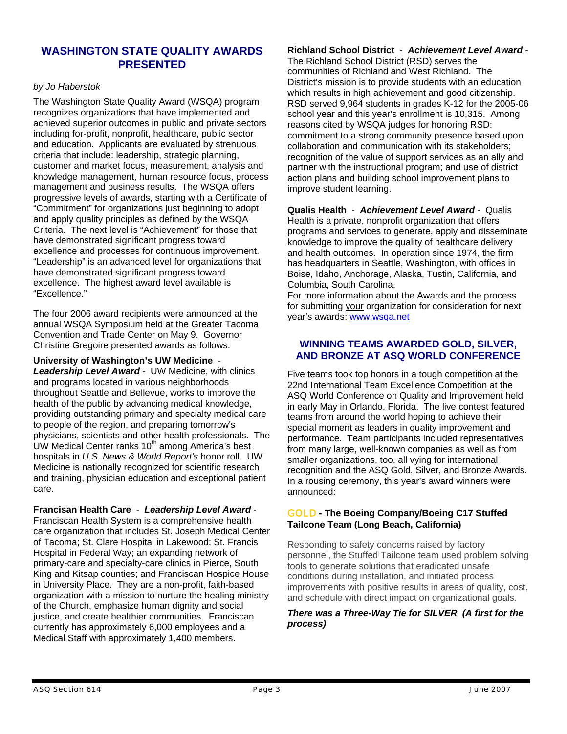## **WASHINGTON STATE QUALITY AWARDS PRESENTED**

## *by Jo Haberstok*

The Washington State Quality Award (WSQA) program recognizes organizations that have implemented and achieved superior outcomes in public and private sectors including for-profit, nonprofit, healthcare, public sector and education. Applicants are evaluated by strenuous criteria that include: leadership, strategic planning, customer and market focus, measurement, analysis and knowledge management, human resource focus, process management and business results. The WSQA offers progressive levels of awards, starting with a Certificate of "Commitment" for organizations just beginning to adopt and apply quality principles as defined by the WSQA Criteria. The next level is "Achievement" for those that have demonstrated significant progress toward excellence and processes for continuous improvement. "Leadership" is an advanced level for organizations that have demonstrated significant progress toward excellence. The highest award level available is "Excellence."

The four 2006 award recipients were announced at the annual WSQA Symposium held at the Greater Tacoma Convention and Trade Center on May 9. Governor Christine Gregoire presented awards as follows:

**University of Washington's UW Medicine** -

*Leadership Level Award* - UW Medicine, with clinics and programs located in various neighborhoods throughout Seattle and Bellevue, works to improve the health of the public by advancing medical knowledge, providing outstanding primary and specialty medical care to people of the region, and preparing tomorrow's physicians, scientists and other health professionals. The UW Medical Center ranks 10<sup>th</sup> among America's best hospitals in *U.S. News & World Report's* honor roll. UW Medicine is nationally recognized for scientific research and training, physician education and exceptional patient care.

**Francisan Health Care** - *Leadership Level Award* -

Franciscan Health System is a comprehensive health care organization that includes St. Joseph Medical Center of Tacoma; St. Clare Hospital in Lakewood; St. Francis Hospital in Federal Way; an expanding network of primary-care and specialty-care clinics in Pierce, South King and Kitsap counties; and Franciscan Hospice House in University Place. They are a non-profit, faith-based organization with a mission to nurture the healing ministry of the Church, emphasize human dignity and social justice, and create healthier communities. Franciscan currently has approximately 6,000 employees and a Medical Staff with approximately 1,400 members.

## **Richland School District** - *Achievement Level Award* -

The Richland School District (RSD) serves the communities of Richland and West Richland. The District's mission is to provide students with an education which results in high achievement and good citizenship. RSD served 9,964 students in grades K-12 for the 2005-06 school year and this year's enrollment is 10,315. Among reasons cited by WSQA judges for honoring RSD: commitment to a strong community presence based upon collaboration and communication with its stakeholders; recognition of the value of support services as an ally and partner with the instructional program; and use of district action plans and building school improvement plans to improve student learning.

**Qualis Health** - *Achievement Level Award* - Qualis Health is a private, nonprofit organization that offers programs and services to generate, apply and disseminate knowledge to improve the quality of healthcare delivery and health outcomes. In operation since 1974, the firm has headquarters in Seattle, Washington, with offices in Boise, Idaho, Anchorage, Alaska, Tustin, California, and Columbia, South Carolina.

For more information about the Awards and the process for submitting your organization for consideration for next year's awards: www.wsqa.net

## **WINNING TEAMS AWARDED GOLD, SILVER, AND BRONZE AT ASQ WORLD CONFERENCE**

Five teams took top honors in a tough competition at the 22nd International Team Excellence Competition at the ASQ World Conference on Quality and Improvement held in early May in Orlando, Florida. The live contest featured teams from around the world hoping to achieve their special moment as leaders in quality improvement and performance. Team participants included representatives from many large, well-known companies as well as from smaller organizations, too, all vying for international recognition and the ASQ Gold, Silver, and Bronze Awards. In a rousing ceremony, this year's award winners were announced:

## GOLD **- The Boeing Company/Boeing C17 Stuffed Tailcone Team (Long Beach, California)**

Responding to safety concerns raised by factory personnel, the Stuffed Tailcone team used problem solving tools to generate solutions that eradicated unsafe conditions during installation, and initiated process improvements with positive results in areas of quality, cost, and schedule with direct impact on organizational goals.

## *There was a Three-Way Tie for SILVER (A first for the process)*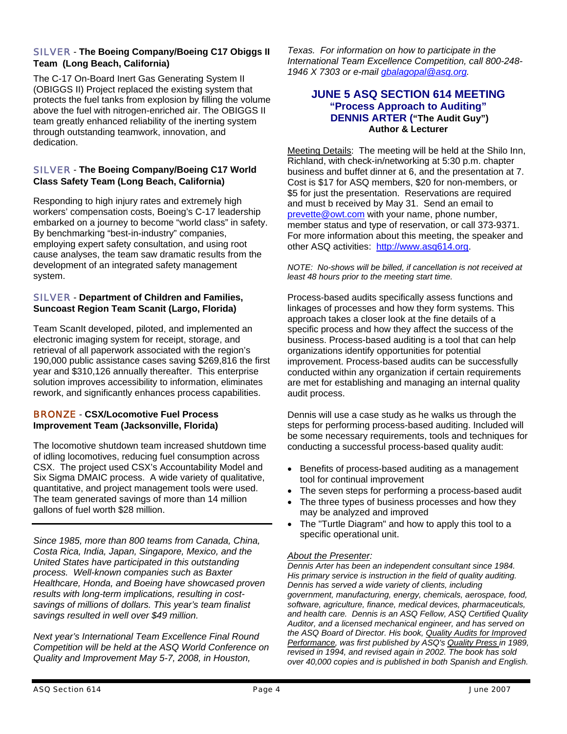## SILVER - **The Boeing Company/Boeing C17 Obiggs II Team (Long Beach, California)**

The C-17 On-Board Inert Gas Generating System II (OBIGGS II) Project replaced the existing system that protects the fuel tanks from explosion by filling the volume above the fuel with nitrogen-enriched air. The OBIGGS II team greatly enhanced reliability of the inerting system through outstanding teamwork, innovation, and dedication.

## SILVER - **The Boeing Company/Boeing C17 World Class Safety Team (Long Beach, California)**

Responding to high injury rates and extremely high workers' compensation costs, Boeing's C-17 leadership embarked on a journey to become "world class" in safety. By benchmarking "best-in-industry" companies, employing expert safety consultation, and using root cause analyses, the team saw dramatic results from the development of an integrated safety management system.

## SILVER - **Department of Children and Families, Suncoast Region Team Scanit (Largo, Florida)**

Team ScanIt developed, piloted, and implemented an electronic imaging system for receipt, storage, and retrieval of all paperwork associated with the region's 190,000 public assistance cases saving \$269,816 the first year and \$310,126 annually thereafter. This enterprise solution improves accessibility to information, eliminates rework, and significantly enhances process capabilities.

## BRONZE - **CSX/Locomotive Fuel Process Improvement Team (Jacksonville, Florida)**

The locomotive shutdown team increased shutdown time of idling locomotives, reducing fuel consumption across CSX. The project used CSX's Accountability Model and Six Sigma DMAIC process. A wide variety of qualitative, quantitative, and project management tools were used. The team generated savings of more than 14 million gallons of fuel worth \$28 million.

*Since 1985, more than 800 teams from Canada, China, Costa Rica, India, Japan, Singapore, Mexico, and the United States have participated in this outstanding process. Well-known companies such as Baxter Healthcare, Honda, and Boeing have showcased proven results with long-term implications, resulting in costsavings of millions of dollars. This year's team finalist savings resulted in well over \$49 million.* 

*Next year's International Team Excellence Final Round Competition will be held at the ASQ World Conference on Quality and Improvement May 5-7, 2008, in Houston,* 

*Texas. For information on how to participate in the International Team Excellence Competition, call 800-248- 1946 X 7303 or e-mail gbalagopal@asq.org.* 

## **JUNE 5 ASQ SECTION 614 MEETING "Process Approach to Auditing" DENNIS ARTER ("The Audit Guy") Author & Lecturer**

Meeting Details: The meeting will be held at the Shilo Inn, Richland, with check-in/networking at 5:30 p.m. chapter business and buffet dinner at 6, and the presentation at 7. Cost is \$17 for ASQ members, \$20 for non-members, or \$5 for just the presentation. Reservations are required and must b received by May 31. Send an email to prevette@owt.com with your name, phone number, member status and type of reservation, or call 373-9371. For more information about this meeting, the speaker and other ASQ activities: http://www.asq614.org.

*NOTE: No-shows will be billed, if cancellation is not received at least 48 hours prior to the meeting start time.* 

Process-based audits specifically assess functions and linkages of processes and how they form systems. This approach takes a closer look at the fine details of a specific process and how they affect the success of the business. Process-based auditing is a tool that can help organizations identify opportunities for potential improvement. Process-based audits can be successfully conducted within any organization if certain requirements are met for establishing and managing an internal quality audit process.

Dennis will use a case study as he walks us through the steps for performing process-based auditing. Included will be some necessary requirements, tools and techniques for conducting a successful process-based quality audit:

- Benefits of process-based auditing as a management tool for continual improvement
- The seven steps for performing a process-based audit
- The three types of business processes and how they may be analyzed and improved
- The "Turtle Diagram" and how to apply this tool to a specific operational unit.

## *About the Presenter:*

*Dennis Arter has been an independent consultant since 1984. His primary service is instruction in the field of quality auditing. Dennis has served a wide variety of clients, including government, manufacturing, energy, chemicals, aerospace, food, software, agriculture, finance, medical devices, pharmaceuticals, and health care. Dennis is an ASQ Fellow, ASQ Certified Quality Auditor, and a licensed mechanical engineer, and has served on the ASQ Board of Director. His book, Quality Audits for Improved Performance, was first published by ASQ's Quality Press in 1989, revised in 1994, and revised again in 2002. The book has sold over 40,000 copies and is published in both Spanish and English.*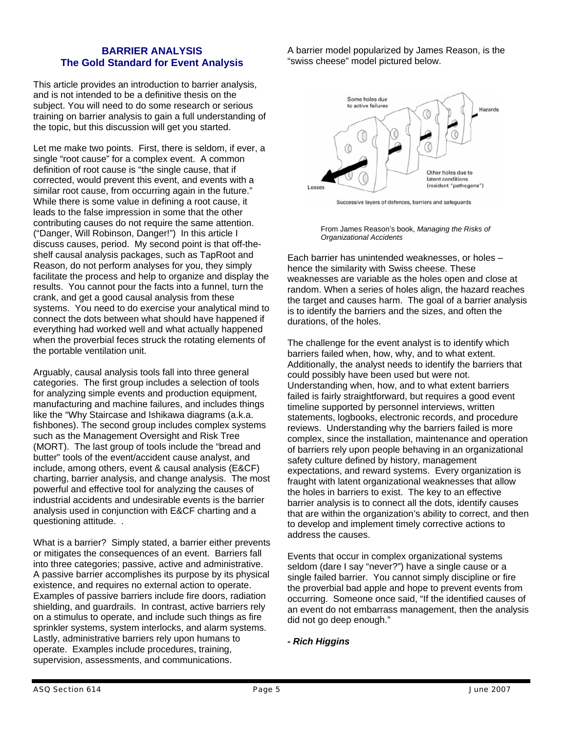## **BARRIER ANALYSIS The Gold Standard for Event Analysis**

This article provides an introduction to barrier analysis, and is not intended to be a definitive thesis on the subject. You will need to do some research or serious training on barrier analysis to gain a full understanding of the topic, but this discussion will get you started.

Let me make two points. First, there is seldom, if ever, a single "root cause" for a complex event. A common definition of root cause is "the single cause, that if corrected, would prevent this event, and events with a similar root cause, from occurring again in the future." While there is some value in defining a root cause, it leads to the false impression in some that the other contributing causes do not require the same attention. ("Danger, Will Robinson, Danger!") In this article I discuss causes, period. My second point is that off-theshelf causal analysis packages, such as TapRoot and Reason, do not perform analyses for you, they simply facilitate the process and help to organize and display the results. You cannot pour the facts into a funnel, turn the crank, and get a good causal analysis from these systems. You need to do exercise your analytical mind to connect the dots between what should have happened if everything had worked well and what actually happened when the proverbial feces struck the rotating elements of the portable ventilation unit.

Arguably, causal analysis tools fall into three general categories. The first group includes a selection of tools for analyzing simple events and production equipment, manufacturing and machine failures, and includes things like the "Why Staircase and Ishikawa diagrams (a.k.a. fishbones). The second group includes complex systems such as the Management Oversight and Risk Tree (MORT). The last group of tools include the "bread and butter" tools of the event/accident cause analyst, and include, among others, event & causal analysis (E&CF) charting, barrier analysis, and change analysis. The most powerful and effective tool for analyzing the causes of industrial accidents and undesirable events is the barrier analysis used in conjunction with E&CF charting and a questioning attitude. .

What is a barrier? Simply stated, a barrier either prevents or mitigates the consequences of an event. Barriers fall into three categories; passive, active and administrative. A passive barrier accomplishes its purpose by its physical existence, and requires no external action to operate. Examples of passive barriers include fire doors, radiation shielding, and guardrails. In contrast, active barriers rely on a stimulus to operate, and include such things as fire sprinkler systems, system interlocks, and alarm systems. Lastly, administrative barriers rely upon humans to operate. Examples include procedures, training, supervision, assessments, and communications.

A barrier model popularized by James Reason, is the "swiss cheese" model pictured below.



Successive layers of defences, barriers and safeguards



Each barrier has unintended weaknesses, or holes – hence the similarity with Swiss cheese. These weaknesses are variable as the holes open and close at random. When a series of holes align, the hazard reaches the target and causes harm. The goal of a barrier analysis is to identify the barriers and the sizes, and often the durations, of the holes.

The challenge for the event analyst is to identify which barriers failed when, how, why, and to what extent. Additionally, the analyst needs to identify the barriers that could possibly have been used but were not. Understanding when, how, and to what extent barriers failed is fairly straightforward, but requires a good event timeline supported by personnel interviews, written statements, logbooks, electronic records, and procedure reviews. Understanding why the barriers failed is more complex, since the installation, maintenance and operation of barriers rely upon people behaving in an organizational safety culture defined by history, management expectations, and reward systems. Every organization is fraught with latent organizational weaknesses that allow the holes in barriers to exist. The key to an effective barrier analysis is to connect all the dots, identify causes that are within the organization's ability to correct, and then to develop and implement timely corrective actions to address the causes.

Events that occur in complex organizational systems seldom (dare I say "never?") have a single cause or a single failed barrier. You cannot simply discipline or fire the proverbial bad apple and hope to prevent events from occurring. Someone once said, "If the identified causes of an event do not embarrass management, then the analysis did not go deep enough."

## *- Rich Higgins*